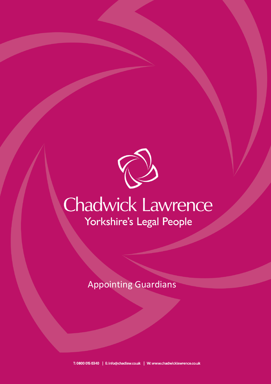

# Chadwick Lawrence Yorkshire's Legal People

Appointing Guardians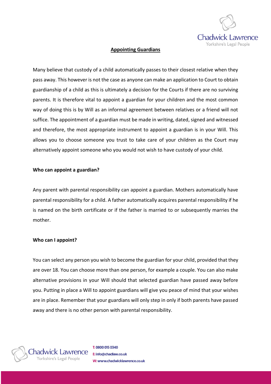

### **Appointing Guardians**

Many believe that custody of a child automatically passes to their closest relative when they pass away. This however is not the case as anyone can make an application to Court to obtain guardianship of a child as this is ultimately a decision for the Courts if there are no surviving parents. It is therefore vital to appoint a guardian for your children and the most common way of doing this is by Will as an informal agreement between relatives or a friend will not suffice. The appointment of a guardian must be made in writing, dated, signed and witnessed and therefore, the most appropriate instrument to appoint a guardian is in your Will. This allows you to choose someone you trust to take care of your children as the Court may alternatively appoint someone who you would not wish to have custody of your child.

#### **Who can appoint a guardian?**

Any parent with parental responsibility can appoint a guardian. Mothers automatically have parental responsibility for a child. A father automatically acquires parental responsibility if he is named on the birth certificate or if the father is married to or subsequently marries the mother.

#### **Who can I appoint?**

You can select any person you wish to become the guardian for your child, provided that they are over 18. You can choose more than one person, for example a couple. You can also make alternative provisions in your Will should that selected guardian have passed away before you. Putting in place a Will to appoint guardians will give you peace of mind that your wishes are in place. Remember that your guardians will only step in only if both parents have passed away and there is no other person with parental responsibility.



T: 0800 015 0340 E: info@chadlaw.co.uk W: www.chadwicklawrence.co.uk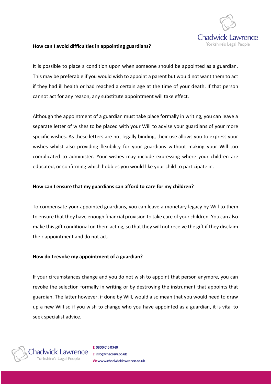

## **How can I avoid difficulties in appointing guardians?**

It is possible to place a condition upon when someone should be appointed as a guardian. This may be preferable if you would wish to appoint a parent but would not want them to act if they had ill health or had reached a certain age at the time of your death. If that person cannot act for any reason, any substitute appointment will take effect.

Although the appointment of a guardian must take place formally in writing, you can leave a separate letter of wishes to be placed with your Will to advise your guardians of your more specific wishes. As these letters are not legally binding, their use allows you to express your wishes whilst also providing flexibility for your guardians without making your Will too complicated to administer. Your wishes may include expressing where your children are educated, or confirming which hobbies you would like your child to participate in.

## **How can I ensure that my guardians can afford to care for my children?**

To compensate your appointed guardians, you can leave a monetary legacy by Will to them to ensure that they have enough financial provision to take care of your children. You can also make this gift conditional on them acting, so that they will not receive the gift if they disclaim their appointment and do not act.

#### **How do I revoke my appointment of a guardian?**

If your circumstances change and you do not wish to appoint that person anymore, you can revoke the selection formally in writing or by destroying the instrument that appoints that guardian. The latter however, if done by Will, would also mean that you would need to draw up a new Will so if you wish to change who you have appointed as a guardian, it is vital to seek specialist advice.

hadwick Lawrence

T: 0800 015 0340 E: info@chadlaw.co.uk W: www.chadwicklawrence.co.uk